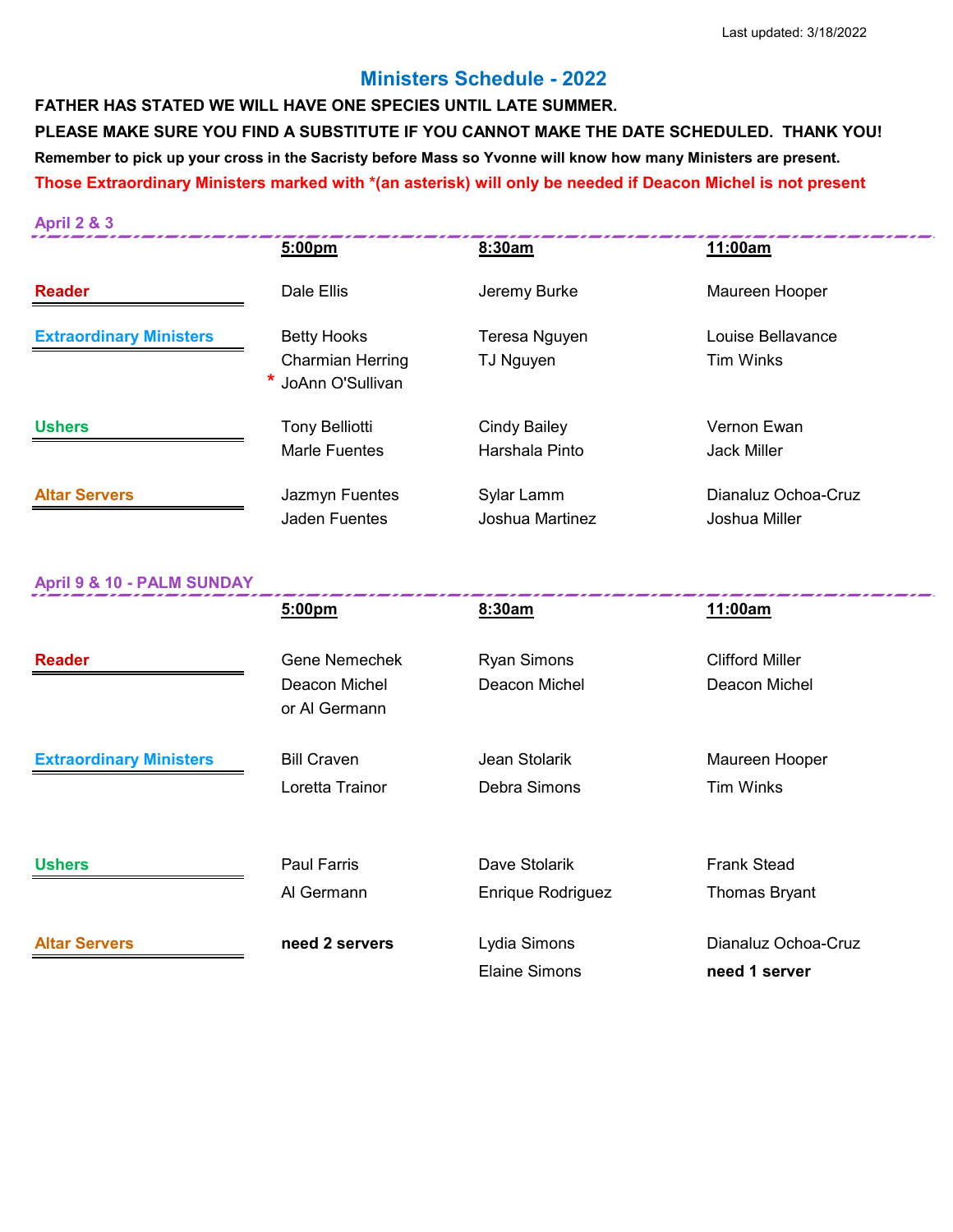## **Ministers Schedule - 2022**

**FATHER HAS STATED WE WILL HAVE ONE SPECIES UNTIL LATE SUMMER. PLEASE MAKE SURE YOU FIND A SUBSTITUTE IF YOU CANNOT MAKE THE DATE SCHEDULED. THANK YOU! Remember to pick up your cross in the Sacristy before Mass so Yvonne will know how many Ministers are present. Those Extraordinary Ministers marked with \*(an asterisk) will only be needed if Deacon Michel is not present**

| <b>April 9 &amp; 10 - PALM SUNDAY</b> | $-$ ^^                  |                     | 11.00               |
|---------------------------------------|-------------------------|---------------------|---------------------|
|                                       |                         |                     |                     |
|                                       | <b>Jaden Fuentes</b>    | Joshua Martinez     | Joshua Miller       |
| <b>Altar Servers</b>                  | Jazmyn Fuentes          | Sylar Lamm          | Dianaluz Ochoa-Cruz |
|                                       | Marle Fuentes           | Harshala Pinto      | <b>Jack Miller</b>  |
| <b>Ushers</b>                         | <b>Tony Belliotti</b>   | <b>Cindy Bailey</b> | Vernon Ewan         |
|                                       | JoAnn O'Sullivan        |                     |                     |
|                                       | <b>Charmian Herring</b> | TJ Nguyen           | <b>Tim Winks</b>    |
| <b>Extraordinary Ministers</b>        | <b>Betty Hooks</b>      | Teresa Nguyen       | Louise Bellavance   |
| <b>Reader</b>                         | Dale Ellis              | Jeremy Burke        | Maureen Hooper      |
|                                       | 5:00pm                  | 8:30am              | 11:00am             |
| <b>April 2 &amp; 3</b>                |                         |                     |                     |
|                                       |                         |                     |                     |

|                                | 5:00pm                         | 8:30am                   | 11:00am                |
|--------------------------------|--------------------------------|--------------------------|------------------------|
| <b>Reader</b>                  | <b>Gene Nemechek</b>           | <b>Ryan Simons</b>       | <b>Clifford Miller</b> |
|                                | Deacon Michel<br>or Al Germann | Deacon Michel            | Deacon Michel          |
| <b>Extraordinary Ministers</b> | <b>Bill Craven</b>             | Jean Stolarik            | Maureen Hooper         |
|                                | Loretta Trainor                | Debra Simons             | <b>Tim Winks</b>       |
| <b>Ushers</b>                  | <b>Paul Farris</b>             | Dave Stolarik            | <b>Frank Stead</b>     |
|                                | Al Germann                     | <b>Enrique Rodriguez</b> | Thomas Bryant          |
| <b>Altar Servers</b>           | need 2 servers                 | Lydia Simons             | Dianaluz Ochoa-Cruz    |
|                                |                                | <b>Elaine Simons</b>     | need 1 server          |